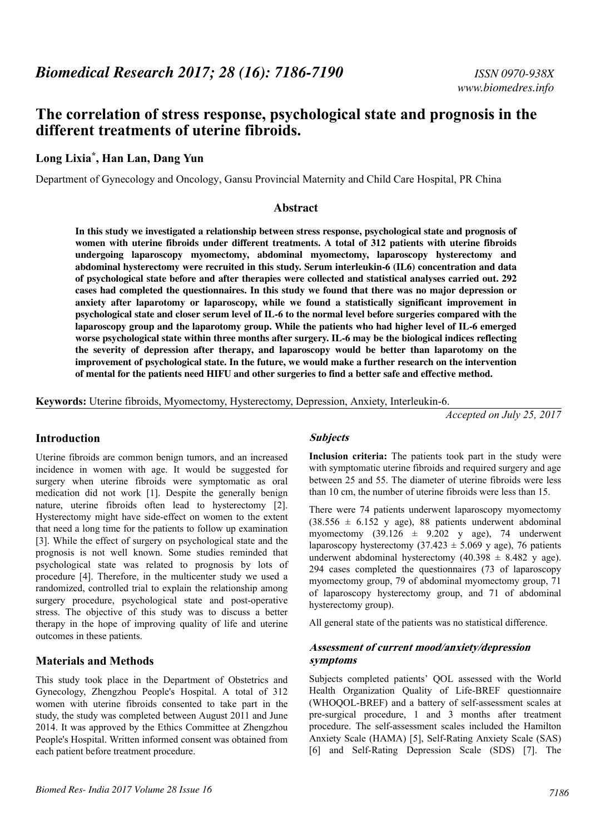*Accepted on July 25, 2017*

# **The correlation of stress response, psychological state and prognosis in the different treatments of uterine fibroids.**

# **Long Lixia\* , Han Lan, Dang Yun**

Department of Gynecology and Oncology, Gansu Provincial Maternity and Child Care Hospital, PR China

#### **Abstract**

**In this study we investigated a relationship between stress response, psychological state and prognosis of women with uterine fibroids under different treatments. A total of 312 patients with uterine fibroids undergoing laparoscopy myomectomy, abdominal myomectomy, laparoscopy hysterectomy and abdominal hysterectomy were recruited in this study. Serum interleukin-6 (IL6) concentration and data of psychological state before and after therapies were collected and statistical analyses carried out. 292 cases had completed the questionnaires. In this study we found that there was no major depression or anxiety after laparotomy or laparoscopy, while we found a statistically significant improvement in psychological state and closer serum level of IL-6 to the normal level before surgeries compared with the laparoscopy group and the laparotomy group. While the patients who had higher level of IL-6 emerged worse psychological state within three months after surgery. IL-6 may be the biological indices reflecting the severity of depression after therapy, and laparoscopy would be better than laparotomy on the improvement of psychological state. In the future, we would make a further research on the intervention of mental for the patients need HIFU and other surgeries to find a better safe and effective method.**

**Keywords:** Uterine fibroids, Myomectomy, Hysterectomy, Depression, Anxiety, Interleukin-6.

#### **Introduction**

Uterine fibroids are common benign tumors, and an increased incidence in women with age. It would be suggested for surgery when uterine fibroids were symptomatic as oral medication did not work [1]. Despite the generally benign nature, uterine fibroids often lead to hysterectomy [2]. Hysterectomy might have side-effect on women to the extent that need a long time for the patients to follow up examination [3]. While the effect of surgery on psychological state and the prognosis is not well known. Some studies reminded that psychological state was related to prognosis by lots of procedure [4]. Therefore, in the multicenter study we used a randomized, controlled trial to explain the relationship among surgery procedure, psychological state and post-operative stress. The objective of this study was to discuss a better therapy in the hope of improving quality of life and uterine outcomes in these patients.

#### **Materials and Methods**

This study took place in the Department of Obstetrics and Gynecology, Zhengzhou People's Hospital. A total of 312 women with uterine fibroids consented to take part in the study, the study was completed between August 2011 and June 2014. It was approved by the Ethics Committee at Zhengzhou People's Hospital. Written informed consent was obtained from each patient before treatment procedure.

#### **Subjects**

**Inclusion criteria:** The patients took part in the study were with symptomatic uterine fibroids and required surgery and age between 25 and 55. The diameter of uterine fibroids were less than 10 cm, the number of uterine fibroids were less than 15.

There were 74 patients underwent laparoscopy myomectomy  $(38.556 \pm 6.152 \text{ y age})$ , 88 patients underwent abdominal myomectomy  $(39.126 \pm 9.202 \text{ y age})$ , 74 underwent laparoscopy hysterectomy  $(37.423 \pm 5.069 \text{ y age})$ , 76 patients underwent abdominal hysterectomy  $(40.398 \pm 8.482 \text{ y age})$ . 294 cases completed the questionnaires (73 of laparoscopy myomectomy group, 79 of abdominal myomectomy group, 71 of laparoscopy hysterectomy group, and 71 of abdominal hysterectomy group).

All general state of the patients was no statistical difference.

## **Assessment of current mood/anxiety/depression symptoms**

Subjects completed patients' QOL assessed with the World Health Organization Quality of Life-BREF questionnaire (WHOQOL-BREF) and a battery of self-assessment scales at pre-surgical procedure, 1 and 3 months after treatment procedure. The self-assessment scales included the Hamilton Anxiety Scale (HAMA) [5], Self-Rating Anxiety Scale (SAS) [6] and Self-Rating Depression Scale (SDS) [7]. The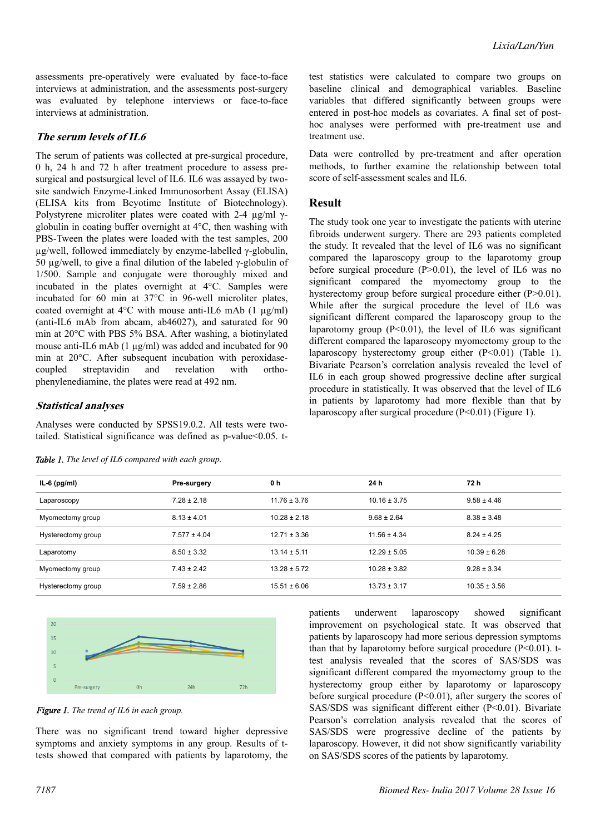assessments pre-operatively were evaluated by face-to-face interviews at administration, and the assessments post-surgery was evaluated by telephone interviews or face-to-face interviews at administration.

## **The serum levels of IL6**

The serum of patients was collected at pre-surgical procedure, 0 h, 24 h and 72 h after treatment procedure to assess presurgical and postsurgical level of IL6. IL6 was assayed by twosite sandwich Enzyme-Linked Immunosorbent Assay (ELISA) (ELISA kits from Beyotime Institute of Biotechnology). Polystyrene microliter plates were coated with 2-4 µg/ml γglobulin in coating buffer overnight at 4°C, then washing with PBS-Tween the plates were loaded with the test samples, 200 µg/well, followed immediately by enzyme-labelled γ-globulin, 50 µg/well, to give a final dilution of the labeled γ-globulin of 1/500. Sample and conjugate were thoroughly mixed and incubated in the plates overnight at 4°C. Samples were incubated for 60 min at 37°C in 96-well microliter plates, coated overnight at 4°C with mouse anti-IL6 mAb (1 µg/ml) (anti-IL6 mAb from abcam, ab46027), and saturated for 90 min at 20°C with PBS 5% BSA. After washing, a biotinylated mouse anti-IL6 mAb (1 µg/ml) was added and incubated for 90 min at 20°C. After subsequent incubation with peroxidasecoupled streptavidin and revelation with orthophenylenediamine, the plates were read at 492 nm.

## **Statistical analyses**

Analyses were conducted by SPSS19.0.2. All tests were twotailed. Statistical significance was defined as p-value<0.05. t-

|  |  |  | Table 1. The level of IL6 compared with each group. |
|--|--|--|-----------------------------------------------------|
|--|--|--|-----------------------------------------------------|

test statistics were calculated to compare two groups on baseline clinical and demographical variables. Baseline variables that differed significantly between groups were entered in post-hoc models as covariates. A final set of posthoc analyses were performed with pre-treatment use and treatment use.

Data were controlled by pre-treatment and after operation methods, to further examine the relationship between total score of self-assessment scales and IL6.

## **Result**

The study took one year to investigate the patients with uterine fibroids underwent surgery. There are 293 patients completed the study. It revealed that the level of IL6 was no significant compared the laparoscopy group to the laparotomy group before surgical procedure  $(P>0.01)$ , the level of IL6 was no significant compared the myomectomy group to the hysterectomy group before surgical procedure either (P>0.01). While after the surgical procedure the level of IL6 was significant different compared the laparoscopy group to the laparotomy group  $(P<0.01)$ , the level of IL6 was significant different compared the laparoscopy myomectomy group to the laparoscopy hysterectomy group either (P<0.01) (Table 1). Bivariate Pearson's correlation analysis revealed the level of IL6 in each group showed progressive decline after surgical procedure in statistically. It was observed that the level of IL6 in patients by laparotomy had more flexible than that by laparoscopy after surgical procedure  $(P<0.01)$  (Figure 1).

| IL-6 $(pg/ml)$     | Pre-surgery      | 0 h              | 24 h             | 72 h             |
|--------------------|------------------|------------------|------------------|------------------|
| Laparoscopy        | $7.28 \pm 2.18$  | $11.76 \pm 3.76$ | $10.16 \pm 3.75$ | $9.58 \pm 4.46$  |
| Myomectomy group   | $8.13 \pm 4.01$  | $10.28 \pm 2.18$ | $9.68 \pm 2.64$  | $8.38 \pm 3.48$  |
| Hysterectomy group | $7.577 \pm 4.04$ | $12.71 \pm 3.36$ | $11.56 \pm 4.34$ | $8.24 \pm 4.25$  |
| Laparotomy         | $8.50 \pm 3.32$  | $13.14 \pm 5.11$ | $12.29 \pm 5.05$ | $10.39 \pm 6.28$ |
| Myomectomy group   | $7.43 \pm 2.42$  | $13.28 \pm 5.72$ | $10.28 \pm 3.82$ | $9.28 \pm 3.34$  |
| Hysterectomy group | $7.59 \pm 2.86$  | $15.51 \pm 6.06$ | $13.73 \pm 3.17$ | $10.35 \pm 3.56$ |



*Figure 1. The trend of IL6 in each group.*

There was no significant trend toward higher depressive symptoms and anxiety symptoms in any group. Results of ttests showed that compared with patients by laparotomy, the patients underwent laparoscopy showed significant improvement on psychological state. It was observed that patients by laparoscopy had more serious depression symptoms than that by laparotomy before surgical procedure  $(P<0.01)$ . ttest analysis revealed that the scores of SAS/SDS was significant different compared the myomectomy group to the hysterectomy group either by laparotomy or laparoscopy before surgical procedure  $(P<0.01)$ , after surgery the scores of SAS/SDS was significant different either (P<0.01). Bivariate Pearson's correlation analysis revealed that the scores of SAS/SDS were progressive decline of the patients by laparoscopy. However, it did not show significantly variability on SAS/SDS scores of the patients by laparotomy.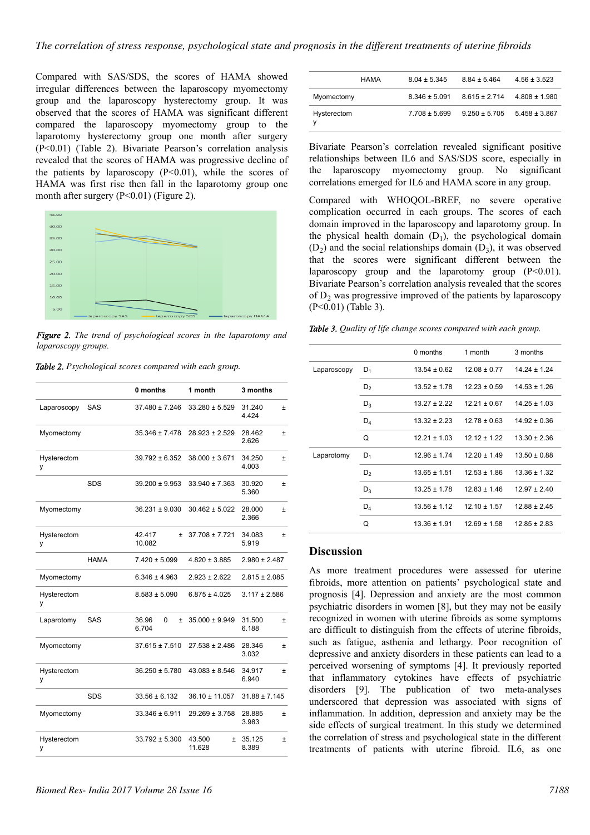Compared with SAS/SDS, the scores of HAMA showed irregular differences between the laparoscopy myomectomy group and the laparoscopy hysterectomy group. It was observed that the scores of HAMA was significant different compared the laparoscopy myomectomy group to the laparotomy hysterectomy group one month after surgery (P<0.01) (Table 2). Bivariate Pearson's correlation analysis revealed that the scores of HAMA was progressive decline of the patients by laparoscopy  $(P<0.01)$ , while the scores of HAMA was first rise then fall in the laparotomy group one month after surgery (P<0.01) (Figure 2).



*Figure 2. The trend of psychological scores in the laparotomy and laparoscopy groups.*

|                  |             | 0 months                     | 1 month            | 3 months                 |
|------------------|-------------|------------------------------|--------------------|--------------------------|
| Laparoscopy      | <b>SAS</b>  | 37.480 ± 7.246               | $33.280 \pm 5.529$ | 31.240<br>Ŧ<br>4.424     |
| Myomectomy       |             | $35.346 \pm 7.478$           | $28.923 \pm 2.529$ | 28.462<br>Ŧ<br>2.626     |
| Hysterectom<br>y |             | $39.792 \pm 6.352$           | $38.000 \pm 3.671$ | 34.250<br>Ŧ<br>4.003     |
|                  | <b>SDS</b>  | $39.200 \pm 9.953$           | $33.940 \pm 7.363$ | 30.920<br>Ŧ.<br>5.360    |
| Myomectomy       |             | $36.231 \pm 9.030$           | $30.462 \pm 5.022$ | 28.000<br>Ŧ.<br>2.366    |
| Hysterectom<br>у |             | 42.417<br>$\pm$<br>10.082    | $37.708 \pm 7.721$ | 34.083<br>Ŧ.<br>5.919    |
|                  | <b>HAMA</b> | $7.420 \pm 5.099$            | $4.820 \pm 3.885$  | $2.980 \pm 2.487$        |
| Myomectomy       |             | $6.346 \pm 4.963$            | $2.923 \pm 2.622$  | $2.815 \pm 2.085$        |
| Hysterectom<br>y |             | $8.583 \pm 5.090$            | $6.875 \pm 4.025$  | $3.117 \pm 2.586$        |
| Laparotomy       | <b>SAS</b>  | 36.96<br>0<br>$\pm$<br>6.704 | $35.000 \pm 9.949$ | 31.500<br>Ŧ.<br>6.188    |
| Myomectomy       |             | $37.615 \pm 7.510$           | $27.538 \pm 2.486$ | 28.346<br>Ŧ<br>3.032     |
| Hysterectom<br>у |             | $36.250 \pm 5.780$           | $43.083 \pm 8.546$ | 34.917<br>Ŧ<br>6.940     |
|                  | <b>SDS</b>  | $33.56 \pm 6.132$            | 36.10 ± 11.057     | $31.88 \pm 7.145$        |
| Myomectomy       |             | $33.346 \pm 6.911$           | 29.269 ± 3.758     | 28.885<br>Ŧ.<br>3.983    |
| Hysterectom<br>y |             | $33.792 \pm 5.300$           | 43.500<br>11.628   | $±$ 35.125<br>Ŧ<br>8.389 |
|                  |             |                              |                    |                          |

|             | HAMA | $8.04 \pm 5.345$  | $8.84 \pm 5.464$                    | $4.56 \pm 3.523$  |
|-------------|------|-------------------|-------------------------------------|-------------------|
| Myomectomy  |      | $8.346 \pm 5.091$ | $8.615 \pm 2.714$ $4.808 \pm 1.980$ |                   |
| Hysterectom |      | $7.708 \pm 5.699$ | $9.250 \pm 5.705$                   | $5.458 \pm 3.867$ |

Bivariate Pearson's correlation revealed significant positive relationships between IL6 and SAS/SDS score, especially in the laparoscopy myomectomy group. No significant correlations emerged for IL6 and HAMA score in any group.

Compared with WHOQOL-BREF, no severe operative complication occurred in each groups. The scores of each domain improved in the laparoscopy and laparotomy group. In the physical health domain  $(D_1)$ , the psychological domain  $(D_2)$  and the social relationships domain  $(D_3)$ , it was observed that the scores were significant different between the laparoscopy group and the laparotomy group  $(P<0.01)$ . Bivariate Pearson's correlation analysis revealed that the scores of  $D<sub>2</sub>$  was progressive improved of the patients by laparoscopy (P<0.01) (Table 3).

|  |  |  |  |  | Table 3. Quality of life change scores compared with each group. |  |  |  |
|--|--|--|--|--|------------------------------------------------------------------|--|--|--|
|--|--|--|--|--|------------------------------------------------------------------|--|--|--|

|             |                | 0 months         | 1 month          | 3 months         |
|-------------|----------------|------------------|------------------|------------------|
| Laparoscopy | $D_1$          | $13.54 \pm 0.62$ | $12.08 \pm 0.77$ | $14.24 \pm 1.24$ |
|             | D <sub>2</sub> | $13.52 \pm 1.78$ | $12.23 \pm 0.59$ | $14.53 \pm 1.26$ |
|             | $D_3$          | $13.27 \pm 2.22$ | $12.21 \pm 0.67$ | $14.25 \pm 1.03$ |
|             | $D_4$          | $13.32 \pm 2.23$ | $12.78 \pm 0.63$ | $14.92 \pm 0.36$ |
|             | Q              | $12.21 \pm 1.03$ | $1212 + 122$     | $13.30 \pm 2.36$ |
| Laparotomy  | $D_1$          | $12.96 \pm 1.74$ | $12.20 \pm 1.49$ | $13.50 \pm 0.88$ |
|             | D <sub>2</sub> | $13.65 \pm 1.51$ | $12.53 \pm 1.86$ | $13.36 \pm 1.32$ |
|             | $D_3$          | $13.25 \pm 1.78$ | $12.83 \pm 1.46$ | $12.97 \pm 2.40$ |
|             | $D_4$          | $13.56 \pm 1.12$ | $12.10 \pm 1.57$ | $12.88 \pm 2.45$ |
|             | Q              | $13.36 \pm 1.91$ | $12.69 \pm 1.58$ | $12.85 \pm 2.83$ |

## **Discussion**

As more treatment procedures were assessed for uterine fibroids, more attention on patients' psychological state and prognosis [4]. Depression and anxiety are the most common psychiatric disorders in women [8], but they may not be easily recognized in women with uterine fibroids as some symptoms are difficult to distinguish from the effects of uterine fibroids, such as fatigue, asthenia and lethargy. Poor recognition of depressive and anxiety disorders in these patients can lead to a perceived worsening of symptoms [4]. It previously reported that inflammatory cytokines have effects of psychiatric disorders [9]. The publication of two meta-analyses underscored that depression was associated with signs of inflammation. In addition, depression and anxiety may be the side effects of surgical treatment. In this study we determined the correlation of stress and psychological state in the different treatments of patients with uterine fibroid. IL6, as one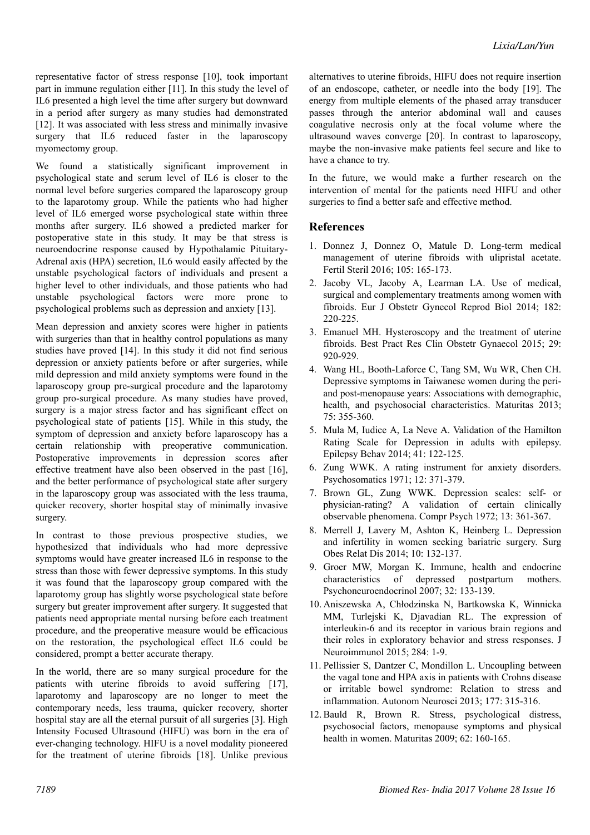representative factor of stress response [10], took important part in immune regulation either [11]. In this study the level of IL6 presented a high level the time after surgery but downward in a period after surgery as many studies had demonstrated [12]. It was associated with less stress and minimally invasive surgery that IL6 reduced faster in the laparoscopy myomectomy group.

We found a statistically significant improvement in psychological state and serum level of IL6 is closer to the normal level before surgeries compared the laparoscopy group to the laparotomy group. While the patients who had higher level of IL6 emerged worse psychological state within three months after surgery. IL6 showed a predicted marker for postoperative state in this study. It may be that stress is neuroendocrine response caused by Hypothalamic Pituitary-Adrenal axis (HPA) secretion, IL6 would easily affected by the unstable psychological factors of individuals and present a higher level to other individuals, and those patients who had unstable psychological factors were more prone to psychological problems such as depression and anxiety [13].

Mean depression and anxiety scores were higher in patients with surgeries than that in healthy control populations as many studies have proved [14]. In this study it did not find serious depression or anxiety patients before or after surgeries, while mild depression and mild anxiety symptoms were found in the laparoscopy group pre-surgical procedure and the laparotomy group pro-surgical procedure. As many studies have proved, surgery is a major stress factor and has significant effect on psychological state of patients [15]. While in this study, the symptom of depression and anxiety before laparoscopy has a certain relationship with preoperative communication. Postoperative improvements in depression scores after effective treatment have also been observed in the past [16], and the better performance of psychological state after surgery in the laparoscopy group was associated with the less trauma, quicker recovery, shorter hospital stay of minimally invasive surgery.

In contrast to those previous prospective studies, we hypothesized that individuals who had more depressive symptoms would have greater increased IL6 in response to the stress than those with fewer depressive symptoms. In this study it was found that the laparoscopy group compared with the laparotomy group has slightly worse psychological state before surgery but greater improvement after surgery. It suggested that patients need appropriate mental nursing before each treatment procedure, and the preoperative measure would be efficacious on the restoration, the psychological effect IL6 could be considered, prompt a better accurate therapy.

In the world, there are so many surgical procedure for the patients with uterine fibroids to avoid suffering [17], laparotomy and laparoscopy are no longer to meet the contemporary needs, less trauma, quicker recovery, shorter hospital stay are all the eternal pursuit of all surgeries [3]. High Intensity Focused Ultrasound (HIFU) was born in the era of ever-changing technology. HIFU is a novel modality pioneered for the treatment of uterine fibroids [18]. Unlike previous

alternatives to uterine fibroids, HIFU does not require insertion of an endoscope, catheter, or needle into the body [19]. The energy from multiple elements of the phased array transducer passes through the anterior abdominal wall and causes coagulative necrosis only at the focal volume where the ultrasound waves converge [20]. In contrast to laparoscopy, maybe the non-invasive make patients feel secure and like to have a chance to try.

In the future, we would make a further research on the intervention of mental for the patients need HIFU and other surgeries to find a better safe and effective method.

## **References**

- 1. Donnez J, Donnez O, Matule D. Long-term medical management of uterine fibroids with ulipristal acetate. Fertil Steril 2016; 105: 165-173.
- 2. Jacoby VL, Jacoby A, Learman LA. Use of medical, surgical and complementary treatments among women with fibroids. Eur J Obstetr Gynecol Reprod Biol 2014; 182: 220-225.
- 3. Emanuel MH. Hysteroscopy and the treatment of uterine fibroids. Best Pract Res Clin Obstetr Gynaecol 2015; 29: 920-929.
- 4. Wang HL, Booth-Laforce C, Tang SM, Wu WR, Chen CH. Depressive symptoms in Taiwanese women during the periand post-menopause years: Associations with demographic, health, and psychosocial characteristics. Maturitas 2013; 75: 355-360.
- 5. Mula M, Iudice A, La Neve A. Validation of the Hamilton Rating Scale for Depression in adults with epilepsy. Epilepsy Behav 2014; 41: 122-125.
- 6. Zung WWK. A rating instrument for anxiety disorders. Psychosomatics 1971; 12: 371-379.
- 7. Brown GL, Zung WWK. Depression scales: self- or physician-rating? A validation of certain clinically observable phenomena. Compr Psych 1972; 13: 361-367.
- 8. Merrell J, Lavery M, Ashton K, Heinberg L. Depression and infertility in women seeking bariatric surgery. Surg Obes Relat Dis 2014; 10: 132-137.
- 9. Groer MW, Morgan K. Immune, health and endocrine characteristics of depressed postpartum mothers. Psychoneuroendocrinol 2007; 32: 133-139.
- 10. Aniszewska A, Chłodzinska N, Bartkowska K, Winnicka MM, Turlejski K, Djavadian RL. The expression of interleukin-6 and its receptor in various brain regions and their roles in exploratory behavior and stress responses. J Neuroimmunol 2015; 284: 1-9.
- 11. Pellissier S, Dantzer C, Mondillon L. Uncoupling between the vagal tone and HPA axis in patients with Crohns disease or irritable bowel syndrome: Relation to stress and inflammation. Autonom Neurosci 2013; 177: 315-316.
- 12. Bauld R, Brown R. Stress, psychological distress, psychosocial factors, menopause symptoms and physical health in women. Maturitas 2009; 62: 160-165.